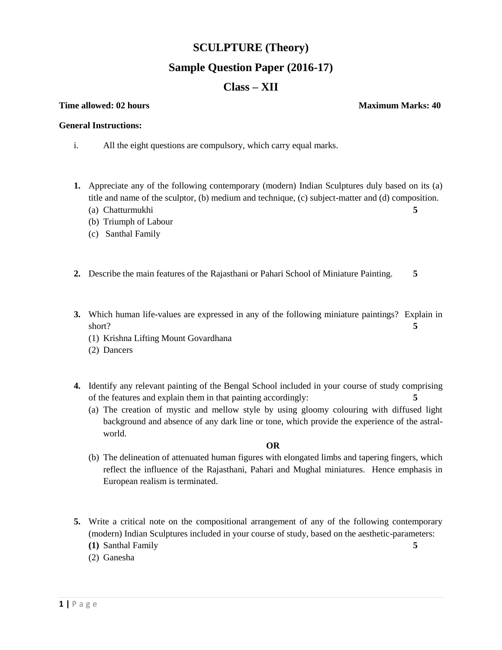## **SCULPTURE (Theory)**

# **Sample Question Paper (2016-17)**

# **Class – XII**

#### **Time allowed:** 02 hours **Maximum Marks:** 40

#### **General Instructions:**

- i. All the eight questions are compulsory, which carry equal marks.
- **1.** Appreciate any of the following contemporary (modern) Indian Sculptures duly based on its (a) title and name of the sculptor, (b) medium and technique, (c) subject-matter and (d) composition.
	- (a) Chatturmukhi **5**
	- (b) Triumph of Labour
	- (c) Santhal Family
- **2.** Describe the main features of the Rajasthani or Pahari School of Miniature Painting. **5**
- **3.** Which human life-values are expressed in any of the following miniature paintings? Explain in short? **5** 
	- (1) Krishna Lifting Mount Govardhana
	- (2) Dancers
- **4.** Identify any relevant painting of the Bengal School included in your course of study comprising of the features and explain them in that painting accordingly: **5**
	- (a) The creation of mystic and mellow style by using gloomy colouring with diffused light background and absence of any dark line or tone, which provide the experience of the astralworld.

### **OR**

- (b) The delineation of attenuated human figures with elongated limbs and tapering fingers, which reflect the influence of the Rajasthani, Pahari and Mughal miniatures. Hence emphasis in European realism is terminated.
- **5.** Write a critical note on the compositional arrangement of any of the following contemporary (modern) Indian Sculptures included in your course of study, based on the aesthetic-parameters:
	- **(1)** Santhal Family **5**
	- (2) Ganesha